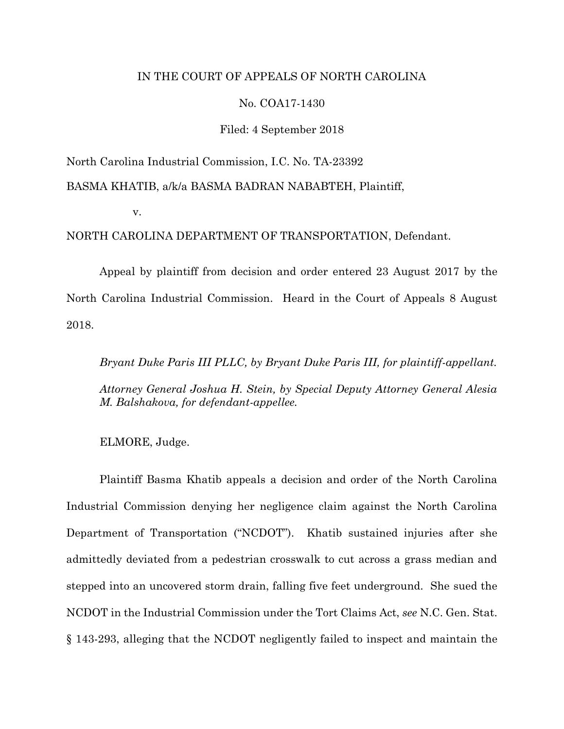# IN THE COURT OF APPEALS OF NORTH CAROLINA

# No. COA17-1430

## Filed: 4 September 2018

North Carolina Industrial Commission, I.C. No. TA-23392

BASMA KHATIB, a/k/a BASMA BADRAN NABABTEH, Plaintiff,

v.

NORTH CAROLINA DEPARTMENT OF TRANSPORTATION, Defendant.

Appeal by plaintiff from decision and order entered 23 August 2017 by the North Carolina Industrial Commission. Heard in the Court of Appeals 8 August 2018.

*Bryant Duke Paris III PLLC, by Bryant Duke Paris III, for plaintiff-appellant. Attorney General Joshua H. Stein, by Special Deputy Attorney General Alesia M. Balshakova, for defendant-appellee.* 

ELMORE, Judge.

Plaintiff Basma Khatib appeals a decision and order of the North Carolina Industrial Commission denying her negligence claim against the North Carolina Department of Transportation ("NCDOT"). Khatib sustained injuries after she admittedly deviated from a pedestrian crosswalk to cut across a grass median and stepped into an uncovered storm drain, falling five feet underground. She sued the NCDOT in the Industrial Commission under the Tort Claims Act, *see* N.C. Gen. Stat. § 143-293, alleging that the NCDOT negligently failed to inspect and maintain the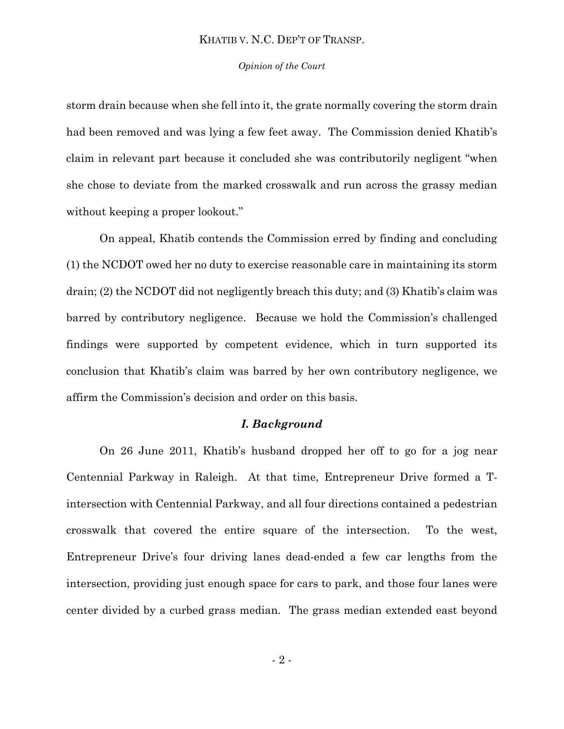#### *Opinion of the Court*

storm drain because when she fell into it, the grate normally covering the storm drain had been removed and was lying a few feet away. The Commission denied Khatib's claim in relevant part because it concluded she was contributorily negligent "when she chose to deviate from the marked crosswalk and run across the grassy median without keeping a proper lookout."

On appeal, Khatib contends the Commission erred by finding and concluding (1) the NCDOT owed her no duty to exercise reasonable care in maintaining its storm drain; (2) the NCDOT did not negligently breach this duty; and (3) Khatib's claim was barred by contributory negligence. Because we hold the Commission's challenged findings were supported by competent evidence, which in turn supported its conclusion that Khatib's claim was barred by her own contributory negligence, we affirm the Commission's decision and order on this basis.

#### *I. Background*

On 26 June 2011, Khatib's husband dropped her off to go for a jog near Centennial Parkway in Raleigh. At that time, Entrepreneur Drive formed a Tintersection with Centennial Parkway, and all four directions contained a pedestrian crosswalk that covered the entire square of the intersection. To the west, Entrepreneur Drive's four driving lanes dead-ended a few car lengths from the intersection, providing just enough space for cars to park, and those four lanes were center divided by a curbed grass median. The grass median extended east beyond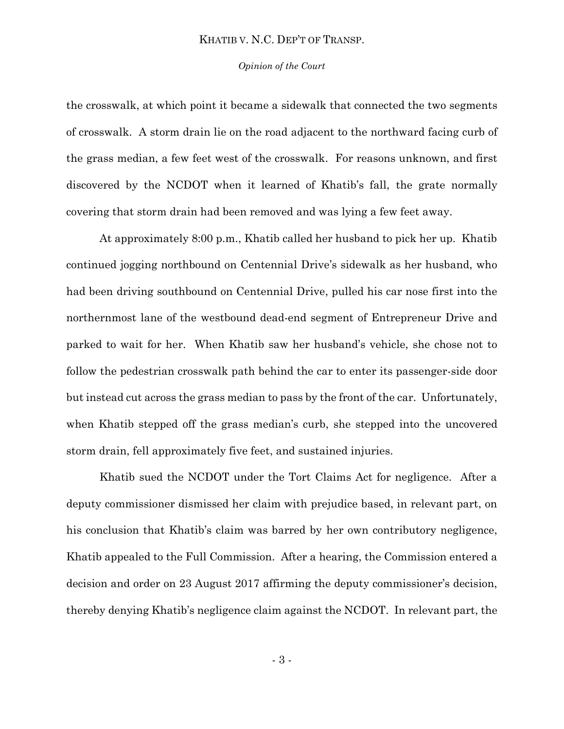#### *Opinion of the Court*

the crosswalk, at which point it became a sidewalk that connected the two segments of crosswalk. A storm drain lie on the road adjacent to the northward facing curb of the grass median, a few feet west of the crosswalk. For reasons unknown, and first discovered by the NCDOT when it learned of Khatib's fall, the grate normally covering that storm drain had been removed and was lying a few feet away.

At approximately 8:00 p.m., Khatib called her husband to pick her up. Khatib continued jogging northbound on Centennial Drive's sidewalk as her husband, who had been driving southbound on Centennial Drive, pulled his car nose first into the northernmost lane of the westbound dead-end segment of Entrepreneur Drive and parked to wait for her. When Khatib saw her husband's vehicle, she chose not to follow the pedestrian crosswalk path behind the car to enter its passenger-side door but instead cut across the grass median to pass by the front of the car. Unfortunately, when Khatib stepped off the grass median's curb, she stepped into the uncovered storm drain, fell approximately five feet, and sustained injuries.

Khatib sued the NCDOT under the Tort Claims Act for negligence. After a deputy commissioner dismissed her claim with prejudice based, in relevant part, on his conclusion that Khatib's claim was barred by her own contributory negligence, Khatib appealed to the Full Commission. After a hearing, the Commission entered a decision and order on 23 August 2017 affirming the deputy commissioner's decision, thereby denying Khatib's negligence claim against the NCDOT. In relevant part, the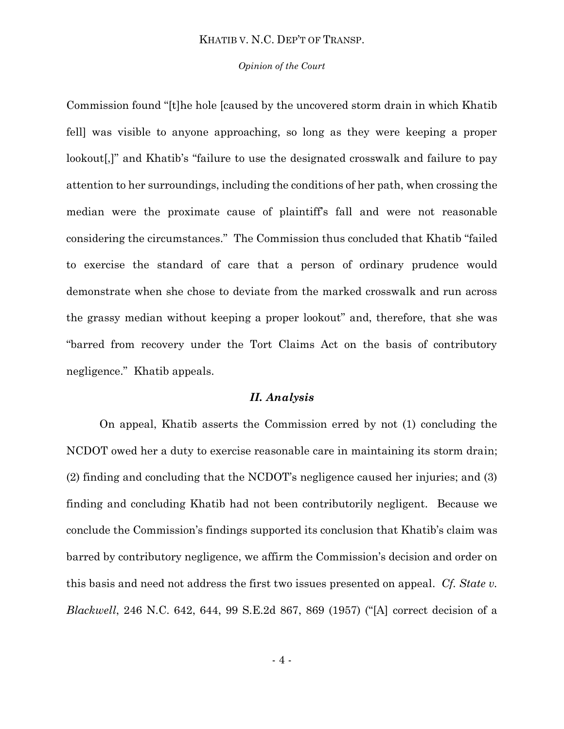#### *Opinion of the Court*

Commission found "[t]he hole [caused by the uncovered storm drain in which Khatib fell] was visible to anyone approaching, so long as they were keeping a proper lookout[,]" and Khatib's "failure to use the designated crosswalk and failure to pay attention to her surroundings, including the conditions of her path, when crossing the median were the proximate cause of plaintiff's fall and were not reasonable considering the circumstances." The Commission thus concluded that Khatib "failed to exercise the standard of care that a person of ordinary prudence would demonstrate when she chose to deviate from the marked crosswalk and run across the grassy median without keeping a proper lookout" and, therefore, that she was "barred from recovery under the Tort Claims Act on the basis of contributory negligence." Khatib appeals.

#### *II. Analysis*

On appeal, Khatib asserts the Commission erred by not (1) concluding the NCDOT owed her a duty to exercise reasonable care in maintaining its storm drain; (2) finding and concluding that the NCDOT's negligence caused her injuries; and (3) finding and concluding Khatib had not been contributorily negligent. Because we conclude the Commission's findings supported its conclusion that Khatib's claim was barred by contributory negligence, we affirm the Commission's decision and order on this basis and need not address the first two issues presented on appeal. *Cf. State v. Blackwell*, 246 N.C. 642, 644, 99 S.E.2d 867, 869 (1957) ("[A] correct decision of a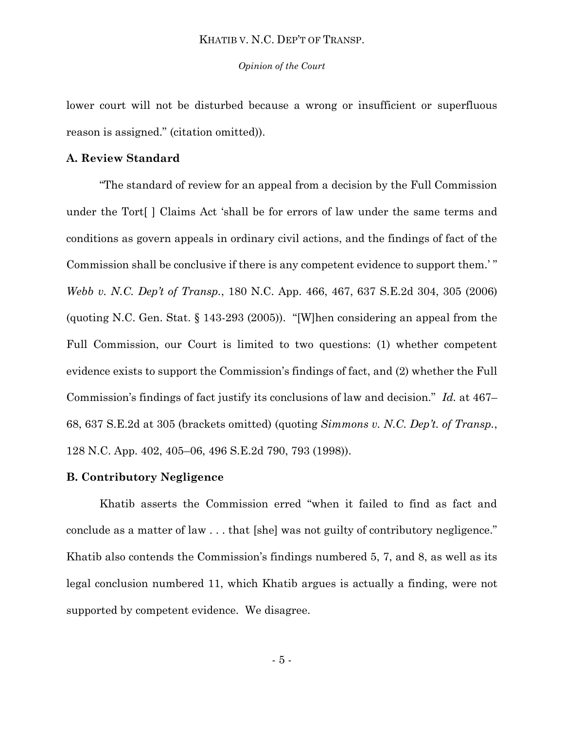*Opinion of the Court*

lower court will not be disturbed because a wrong or insufficient or superfluous reason is assigned." (citation omitted)).

# **A. Review Standard**

"The standard of review for an appeal from a decision by the Full Commission under the Tort[ ] Claims Act 'shall be for errors of law under the same terms and conditions as govern appeals in ordinary civil actions, and the findings of fact of the Commission shall be conclusive if there is any competent evidence to support them.' " *Webb v. N.C. Dep't of Transp.*, 180 N.C. App. 466, 467, 637 S.E.2d 304, 305 (2006) (quoting N.C. Gen. Stat. § 143-293 (2005)). "[W]hen considering an appeal from the Full Commission, our Court is limited to two questions: (1) whether competent evidence exists to support the Commission's findings of fact, and (2) whether the Full Commission's findings of fact justify its conclusions of law and decision." *Id.* at 467– 68, 637 S.E.2d at 305 (brackets omitted) (quoting *Simmons v. N.C. Dep't. of Transp.*, 128 N.C. App. 402, 405–06, 496 S.E.2d 790, 793 (1998)).

# **B. Contributory Negligence**

Khatib asserts the Commission erred "when it failed to find as fact and conclude as a matter of law . . . that [she] was not guilty of contributory negligence." Khatib also contends the Commission's findings numbered 5, 7, and 8, as well as its legal conclusion numbered 11, which Khatib argues is actually a finding, were not supported by competent evidence. We disagree.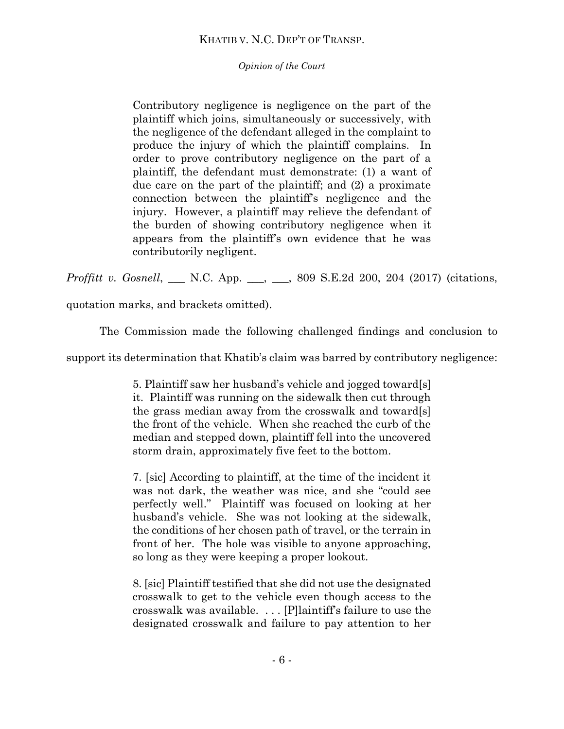*Opinion of the Court*

Contributory negligence is negligence on the part of the plaintiff which joins, simultaneously or successively, with the negligence of the defendant alleged in the complaint to produce the injury of which the plaintiff complains. In order to prove contributory negligence on the part of a plaintiff, the defendant must demonstrate: (1) a want of due care on the part of the plaintiff; and (2) a proximate connection between the plaintiff's negligence and the injury. However, a plaintiff may relieve the defendant of the burden of showing contributory negligence when it appears from the plaintiff's own evidence that he was contributorily negligent.

*Proffitt v. Gosnell*, \_\_\_ N.C. App. \_\_, \_\_, 809 S.E.2d 200, 204 (2017) (citations,

quotation marks, and brackets omitted).

The Commission made the following challenged findings and conclusion to

support its determination that Khatib's claim was barred by contributory negligence:

5. Plaintiff saw her husband's vehicle and jogged toward[s] it. Plaintiff was running on the sidewalk then cut through the grass median away from the crosswalk and toward[s] the front of the vehicle. When she reached the curb of the median and stepped down, plaintiff fell into the uncovered storm drain, approximately five feet to the bottom.

7. [sic] According to plaintiff, at the time of the incident it was not dark, the weather was nice, and she "could see perfectly well." Plaintiff was focused on looking at her husband's vehicle. She was not looking at the sidewalk, the conditions of her chosen path of travel, or the terrain in front of her. The hole was visible to anyone approaching, so long as they were keeping a proper lookout.

8. [sic] Plaintiff testified that she did not use the designated crosswalk to get to the vehicle even though access to the crosswalk was available. . . . [P]laintiff's failure to use the designated crosswalk and failure to pay attention to her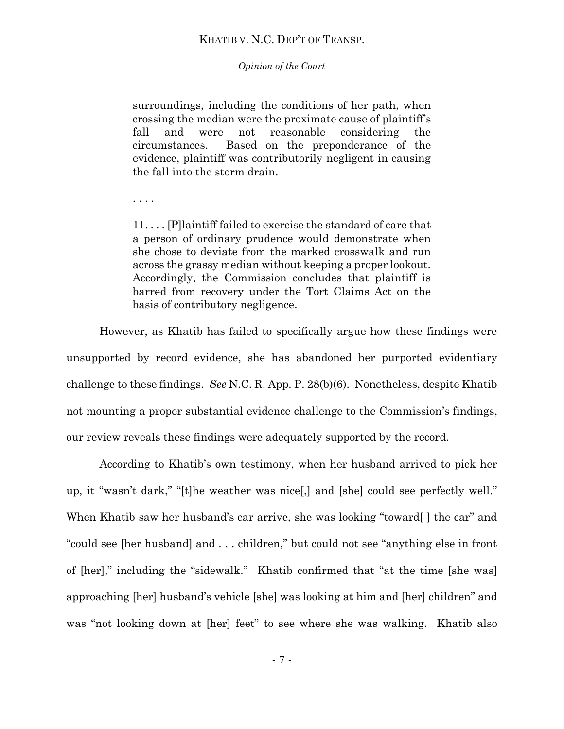*Opinion of the Court*

surroundings, including the conditions of her path, when crossing the median were the proximate cause of plaintiff's fall and were not reasonable considering the circumstances. Based on the preponderance of the evidence, plaintiff was contributorily negligent in causing the fall into the storm drain.

. . . .

11. . . . [P]laintiff failed to exercise the standard of care that a person of ordinary prudence would demonstrate when she chose to deviate from the marked crosswalk and run across the grassy median without keeping a proper lookout. Accordingly, the Commission concludes that plaintiff is barred from recovery under the Tort Claims Act on the basis of contributory negligence.

However, as Khatib has failed to specifically argue how these findings were unsupported by record evidence, she has abandoned her purported evidentiary challenge to these findings. *See* N.C. R. App. P. 28(b)(6). Nonetheless, despite Khatib not mounting a proper substantial evidence challenge to the Commission's findings, our review reveals these findings were adequately supported by the record.

According to Khatib's own testimony, when her husband arrived to pick her up, it "wasn't dark," "[t]he weather was nice[,] and [she] could see perfectly well." When Khatib saw her husband's car arrive, she was looking "toward [ ] the car" and "could see [her husband] and . . . children," but could not see "anything else in front of [her]," including the "sidewalk." Khatib confirmed that "at the time [she was] approaching [her] husband's vehicle [she] was looking at him and [her] children" and was "not looking down at [her] feet" to see where she was walking. Khatib also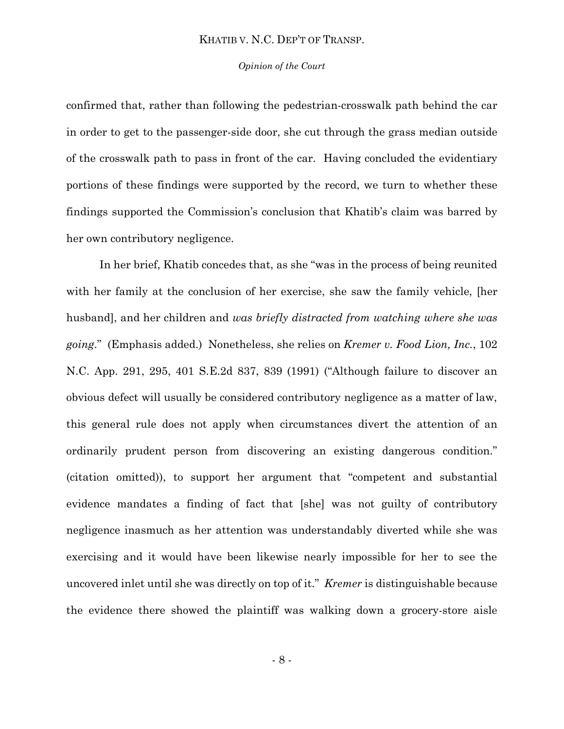#### *Opinion of the Court*

confirmed that, rather than following the pedestrian-crosswalk path behind the car in order to get to the passenger-side door, she cut through the grass median outside of the crosswalk path to pass in front of the car. Having concluded the evidentiary portions of these findings were supported by the record, we turn to whether these findings supported the Commission's conclusion that Khatib's claim was barred by her own contributory negligence.

In her brief, Khatib concedes that, as she "was in the process of being reunited with her family at the conclusion of her exercise, she saw the family vehicle, [her husband], and her children and *was briefly distracted from watching where she was going*." (Emphasis added.) Nonetheless, she relies on *Kremer v. Food Lion, Inc.*, 102 N.C. App. 291, 295, 401 S.E.2d 837, 839 (1991) ("Although failure to discover an obvious defect will usually be considered contributory negligence as a matter of law, this general rule does not apply when circumstances divert the attention of an ordinarily prudent person from discovering an existing dangerous condition." (citation omitted)), to support her argument that "competent and substantial evidence mandates a finding of fact that [she] was not guilty of contributory negligence inasmuch as her attention was understandably diverted while she was exercising and it would have been likewise nearly impossible for her to see the uncovered inlet until she was directly on top of it." *Kremer* is distinguishable because the evidence there showed the plaintiff was walking down a grocery-store aisle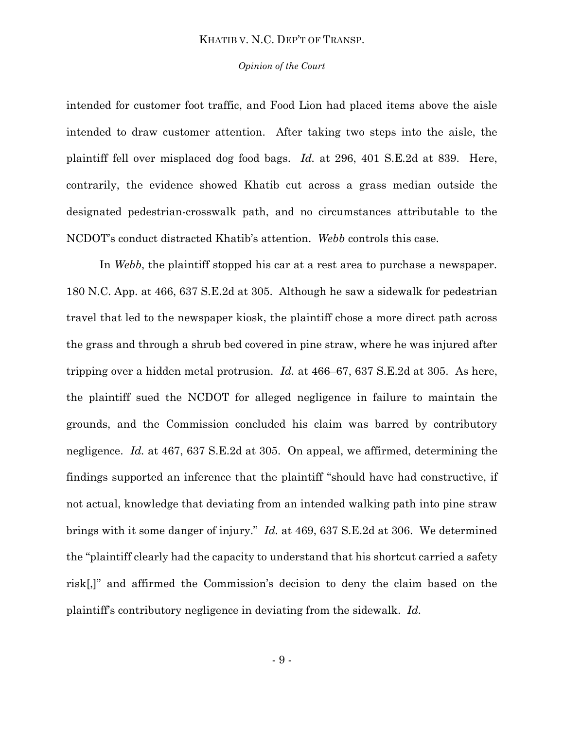#### *Opinion of the Court*

intended for customer foot traffic, and Food Lion had placed items above the aisle intended to draw customer attention. After taking two steps into the aisle, the plaintiff fell over misplaced dog food bags. *Id.* at 296, 401 S.E.2d at 839. Here, contrarily, the evidence showed Khatib cut across a grass median outside the designated pedestrian-crosswalk path, and no circumstances attributable to the NCDOT's conduct distracted Khatib's attention. *Webb* controls this case.

In *Webb*, the plaintiff stopped his car at a rest area to purchase a newspaper. 180 N.C. App. at 466, 637 S.E.2d at 305. Although he saw a sidewalk for pedestrian travel that led to the newspaper kiosk, the plaintiff chose a more direct path across the grass and through a shrub bed covered in pine straw, where he was injured after tripping over a hidden metal protrusion. *Id.* at 466–67, 637 S.E.2d at 305. As here, the plaintiff sued the NCDOT for alleged negligence in failure to maintain the grounds, and the Commission concluded his claim was barred by contributory negligence. *Id.* at 467, 637 S.E.2d at 305. On appeal, we affirmed, determining the findings supported an inference that the plaintiff "should have had constructive, if not actual, knowledge that deviating from an intended walking path into pine straw brings with it some danger of injury." *Id.* at 469, 637 S.E.2d at 306. We determined the "plaintiff clearly had the capacity to understand that his shortcut carried a safety risk[,]" and affirmed the Commission's decision to deny the claim based on the plaintiff's contributory negligence in deviating from the sidewalk. *Id.*